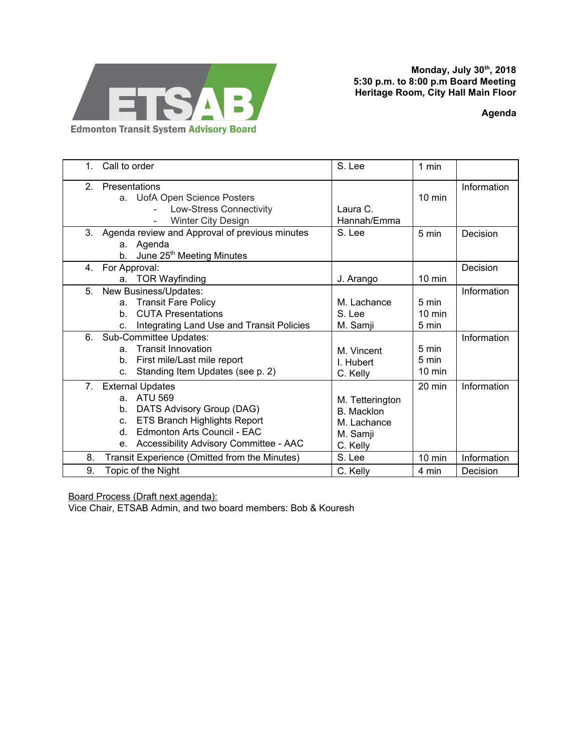

**Monday, July 30 th , 2018 5:30 p.m. to 8:00 p.m Board Meeting Heritage Room, City Hall Main Floor**

**Agenda**

| Call to order<br>$\mathbf{1}$ .                     |                                                                                                                                                                                        | S. Lee                                                                      | 1 min                              |             |
|-----------------------------------------------------|----------------------------------------------------------------------------------------------------------------------------------------------------------------------------------------|-----------------------------------------------------------------------------|------------------------------------|-------------|
| 2 <sub>1</sub><br>Presentations                     | a. UofA Open Science Posters<br>Low-Stress Connectivity<br>Winter City Design                                                                                                          | Laura C.<br>Hannah/Emma                                                     | $10 \text{ min}$                   | Information |
| b.                                                  | 3. Agenda review and Approval of previous minutes<br>a. Agenda<br>June 25 <sup>th</sup> Meeting Minutes                                                                                | S. Lee                                                                      | 5 min                              | Decision    |
| For Approval:<br>4.<br>a.                           | <b>TOR Wayfinding</b>                                                                                                                                                                  | J. Arango                                                                   | $10 \text{ min}$                   | Decision    |
| 5.<br>a.<br>b.<br>C.                                | New Business/Updates:<br><b>Transit Fare Policy</b><br><b>CUTA Presentations</b><br>Integrating Land Use and Transit Policies                                                          | M. Lachance<br>S. Lee<br>M. Samji                                           | 5 min<br>$10 \text{ min}$<br>5 min | Information |
| 6.<br>a <sub>1</sub><br>b.<br>C.                    | Sub-Committee Updates:<br><b>Transit Innovation</b><br>First mile/Last mile report<br>Standing Item Updates (see p. 2)                                                                 | M. Vincent<br>I. Hubert<br>C. Kelly                                         | 5 min<br>5 min<br>$10 \text{ min}$ | Information |
| 7.<br>a.<br>b.<br>C.<br>d.<br>е.                    | <b>External Updates</b><br><b>ATU 569</b><br>DATS Advisory Group (DAG)<br><b>ETS Branch Highlights Report</b><br>Edmonton Arts Council - EAC<br>Accessibility Advisory Committee - AAC | M. Tetterington<br><b>B.</b> Macklon<br>M. Lachance<br>M. Samji<br>C. Kelly | 20 min                             | Information |
| 8.<br>Transit Experience (Omitted from the Minutes) |                                                                                                                                                                                        | S. Lee                                                                      | $10 \text{ min}$                   | Information |
| 9.<br>Topic of the Night                            |                                                                                                                                                                                        | C. Kelly                                                                    | 4 min                              | Decision    |

Board Process (Draft next agenda):

Vice Chair, ETSAB Admin, and two board members: Bob & Kouresh